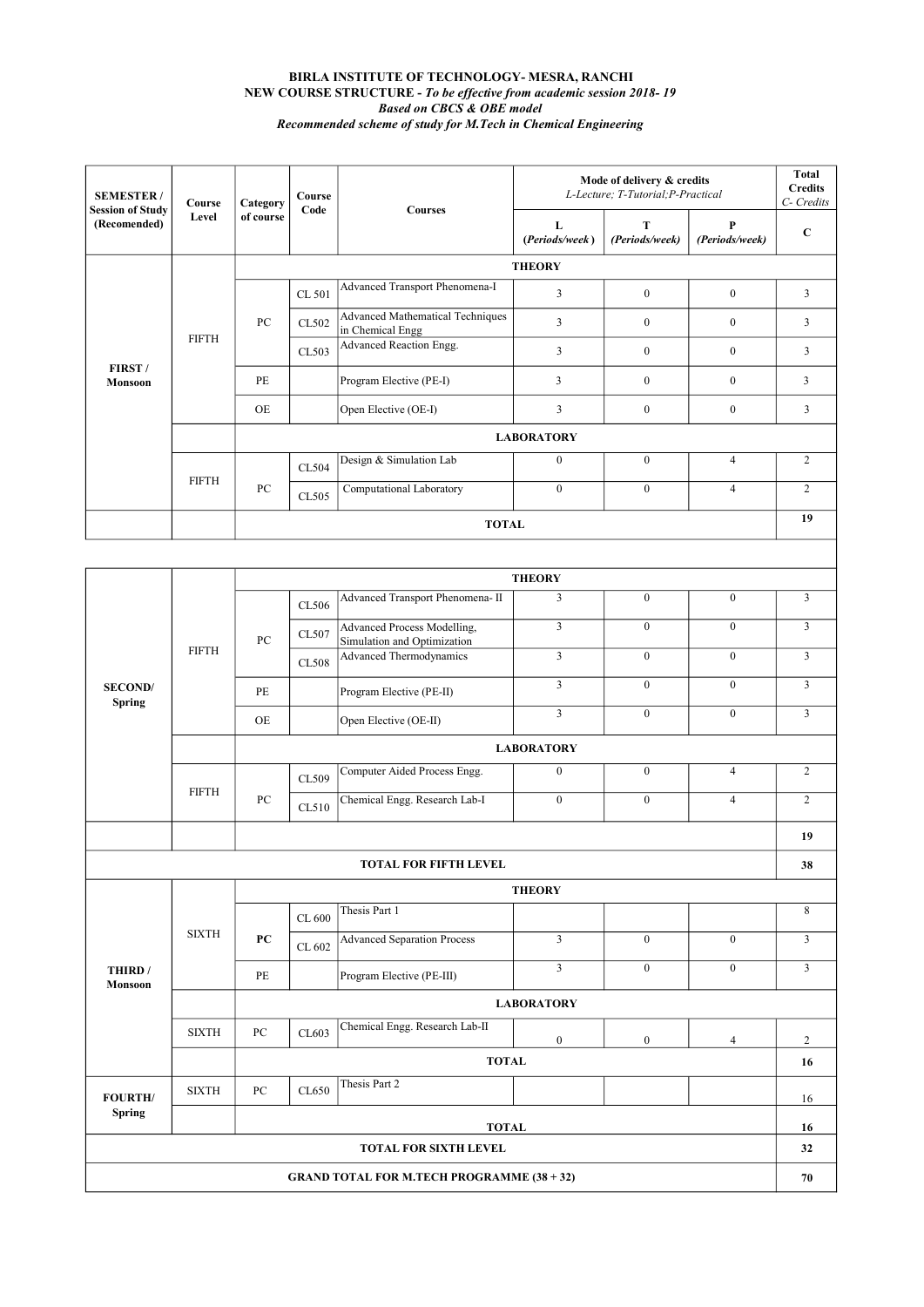## BIRLA INSTITUTE OF TECHNOLOGY- MESRA, RANCHI NEW COURSE STRUCTURE - To be effective from academic session 2018- 19 Based on CBCS & OBE model Recommended scheme of study for M.Tech in Chemical Engineering

| <b>SEMESTER/</b><br><b>Session of Study</b><br>(Recomended) | Course<br>Level | Category<br>of course | Course<br>Code | <b>Courses</b>                                              | Mode of delivery & credits<br>L-Lecture; T-Tutorial; P-Practical | Total<br><b>Credits</b><br>C- Credits |                     |                |  |
|-------------------------------------------------------------|-----------------|-----------------------|----------------|-------------------------------------------------------------|------------------------------------------------------------------|---------------------------------------|---------------------|----------------|--|
|                                                             |                 |                       |                |                                                             | L<br>(Periods/week)                                              | Т<br>(Periods/week)                   | P<br>(Periods/week) | $\mathbf C$    |  |
| FIRST/<br><b>Monsoon</b>                                    | <b>FIFTH</b>    | <b>THEORY</b>         |                |                                                             |                                                                  |                                       |                     |                |  |
|                                                             |                 | PC                    | CL 501         | Advanced Transport Phenomena-I                              | 3                                                                | $\mathbf{0}$                          | $\mathbf{0}$        | $\overline{3}$ |  |
|                                                             |                 |                       | CL502          | <b>Advanced Mathematical Techniques</b><br>in Chemical Engg | $\overline{3}$                                                   | $\mathbf{0}$                          | $\mathbf{0}$        | 3              |  |
|                                                             |                 |                       | CL503          | Advanced Reaction Engg.                                     | $\overline{3}$                                                   | $\mathbf{0}$                          | $\mathbf{0}$        | 3              |  |
|                                                             |                 | <b>PE</b>             |                | Program Elective (PE-I)                                     | 3                                                                | $\mathbf{0}$                          | $\mathbf{0}$        | 3              |  |
|                                                             |                 | <b>OE</b>             |                | Open Elective (OE-I)                                        | $\overline{3}$                                                   | $\Omega$                              | $\Omega$            | 3              |  |
|                                                             |                 | <b>LABORATORY</b>     |                |                                                             |                                                                  |                                       |                     |                |  |
|                                                             | <b>FIFTH</b>    | PC                    | CL504          | Design & Simulation Lab                                     | $\theta$                                                         | $\Omega$                              | $\overline{4}$      | 2              |  |
|                                                             |                 |                       | CL505          | Computational Laboratory                                    | $\Omega$                                                         | $\mathbf{0}$                          | $\overline{4}$      | $\overline{2}$ |  |
|                                                             |                 | <b>TOTAL</b>          |                |                                                             |                                                                  |                                       | 19                  |                |  |

 $\overline{\phantom{a}}$ 

|                          | <b>FIFTH</b> | <b>THEORY</b>     |              |                                                            |                         |                  |                |                |  |
|--------------------------|--------------|-------------------|--------------|------------------------------------------------------------|-------------------------|------------------|----------------|----------------|--|
| <b>SECOND/</b><br>Spring |              | PC                | CL506        | Advanced Transport Phenomena- II                           | 3                       | $\theta$         | $\theta$       | $\overline{3}$ |  |
|                          |              |                   | CL507        | Advanced Process Modelling,<br>Simulation and Optimization | $\overline{3}$          | $\mathbf{0}$     | $\mathbf{0}$   | $\overline{3}$ |  |
|                          |              |                   | <b>CL508</b> | Advanced Thermodynamics                                    | $\overline{3}$          | $\mathbf{0}$     | $\mathbf{0}$   | $\overline{3}$ |  |
|                          |              | PE                |              | Program Elective (PE-II)                                   | $\overline{\mathbf{3}}$ | $\mathbf{0}$     | $\overline{0}$ | $\overline{3}$ |  |
|                          |              | OE                |              | Open Elective (OE-II)                                      | $\overline{3}$          | $\mathbf{0}$     | $\mathbf{0}$   | $\overline{3}$ |  |
|                          |              | <b>LABORATORY</b> |              |                                                            |                         |                  |                |                |  |
|                          | <b>FIFTH</b> | PC                | CL509        | Computer Aided Process Engg.                               | $\boldsymbol{0}$        | $\boldsymbol{0}$ | $\overline{4}$ | $\overline{c}$ |  |
|                          |              |                   | CL510        | Chemical Engg. Research Lab-I                              | $\overline{0}$          | $\boldsymbol{0}$ | $\overline{4}$ | $\overline{c}$ |  |
|                          |              |                   |              |                                                            |                         |                  |                |                |  |
|                          |              |                   |              | <b>TOTAL FOR FIFTH LEVEL</b>                               |                         |                  |                | 38             |  |
|                          | <b>SIXTH</b> | <b>THEORY</b>     |              |                                                            |                         |                  |                |                |  |
|                          |              |                   | CL 600       | Thesis Part 1                                              |                         |                  |                | 8              |  |
|                          |              |                   |              |                                                            |                         |                  |                |                |  |
|                          |              | PC                | CL 602       | <b>Advanced Separation Process</b>                         | $\overline{3}$          | $\theta$         | $\mathbf{0}$   | $\overline{3}$ |  |
| THIRD /<br>Monsoon       |              | PE                |              | Program Elective (PE-III)                                  | $\overline{3}$          | $\mathbf{0}$     | $\overline{0}$ | $\overline{3}$ |  |
|                          |              |                   |              |                                                            | <b>LABORATORY</b>       |                  |                |                |  |
|                          | <b>SIXTH</b> | PC                | CL603        | Chemical Engg. Research Lab-II                             | $\mathbf{0}$            | $\overline{0}$   | $\overline{4}$ | $\overline{c}$ |  |
|                          |              |                   |              | <b>TOTAL</b>                                               |                         |                  |                | 16             |  |
| <b>FOURTH/</b>           | <b>SIXTH</b> | PC                | CL650        | Thesis Part 2                                              |                         |                  |                | 16             |  |
| Spring                   |              |                   |              | <b>TOTAL</b>                                               |                         |                  |                | 16             |  |
|                          |              |                   |              | <b>TOTAL FOR SIXTH LEVEL</b>                               |                         |                  |                | 32             |  |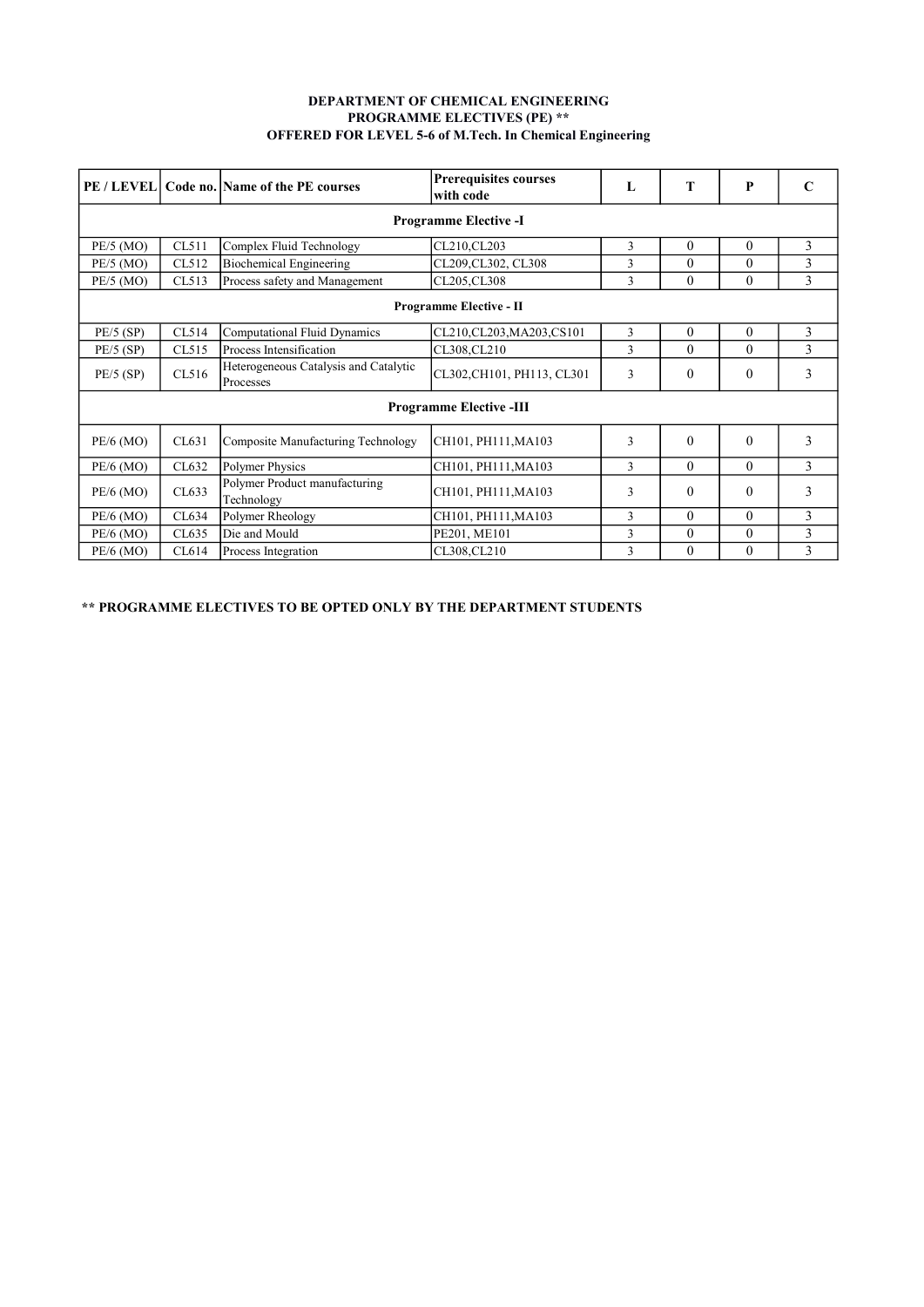## DEPARTMENT OF CHEMICAL ENGINEERING PROGRAMME ELECTIVES (PE) \*\* OFFERED FOR LEVEL 5-6 of M.Tech. In Chemical Engineering

| PE / LEVEL                     |       | Code no. Name of the PE courses                    | <b>Prerequisites courses</b><br>with code | L | Т            | P            |   |  |  |  |
|--------------------------------|-------|----------------------------------------------------|-------------------------------------------|---|--------------|--------------|---|--|--|--|
| <b>Programme Elective -I</b>   |       |                                                    |                                           |   |              |              |   |  |  |  |
| PE/5 (MO)                      | CL511 | Complex Fluid Technology                           | CL210,CL203                               | 3 | $\Omega$     | $\theta$     | 3 |  |  |  |
| $PE/5$ (MO)                    | CL512 | <b>Biochemical Engineering</b>                     | CL209, CL302, CL308                       | 3 | $\Omega$     | $\theta$     | 3 |  |  |  |
| $PE/5$ (MO)                    | CL513 | Process safety and Management                      | CL205, CL308                              | 3 | $\theta$     | $\Omega$     | 3 |  |  |  |
| <b>Programme Elective - II</b> |       |                                                    |                                           |   |              |              |   |  |  |  |
| $PE/5$ (SP)                    | CL514 | <b>Computational Fluid Dynamics</b>                | CL210, CL203, MA203, CS101                | 3 | $\Omega$     | $\theta$     | 3 |  |  |  |
| $PE/5$ (SP)                    | CL515 | Process Intensification<br>CL308,CL210             |                                           | 3 | $\Omega$     | $\theta$     | 3 |  |  |  |
| $PE/5$ (SP)                    | CL516 | Heterogeneous Catalysis and Catalytic<br>Processes | CL302, CH101, PH113, CL301                | 3 | $\mathbf{0}$ | $\mathbf{0}$ | 3 |  |  |  |
| <b>Programme Elective -III</b> |       |                                                    |                                           |   |              |              |   |  |  |  |
| $PE/6$ (MO)                    | CL631 | Composite Manufacturing Technology                 | CH101, PH111, MA103                       | 3 | $\Omega$     | $\Omega$     | 3 |  |  |  |
| $PE/6$ (MO)                    | CL632 | Polymer Physics                                    | CH101, PH111, MA103                       | 3 | $\theta$     | $\Omega$     | 3 |  |  |  |
| $PE/6$ (MO)                    | CL633 | Polymer Product manufacturing<br>Technology        | CH101, PH111, MA103                       | 3 | $\theta$     | $\theta$     | 3 |  |  |  |
| $PE/6$ (MO)                    | CL634 | Polymer Rheology                                   | CH101, PH111, MA103                       | 3 | $\Omega$     | $\Omega$     | 3 |  |  |  |
| PE/6 (MO)                      | CL635 | Die and Mould                                      | PE201, ME101                              | 3 | $\theta$     | $\theta$     | 3 |  |  |  |
| $PE/6$ (MO)                    | CL614 | CL308,CL210<br>Process Integration                 |                                           |   | $\Omega$     | $\theta$     | 3 |  |  |  |

\*\* PROGRAMME ELECTIVES TO BE OPTED ONLY BY THE DEPARTMENT STUDENTS